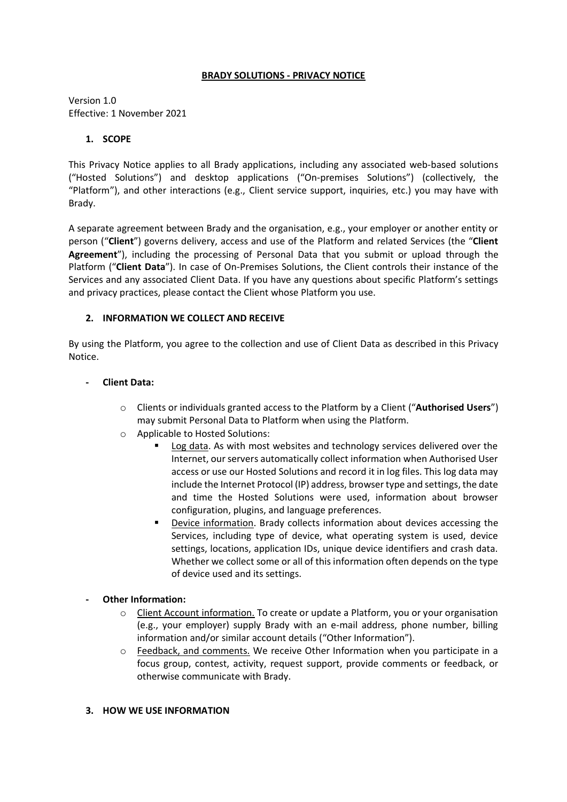### **BRADY SOLUTIONS - PRIVACY NOTICE**

Version 1.0 Effective: 1 November 2021

### **1. SCOPE**

This Privacy Notice applies to all Brady applications, including any associated web-based solutions ("Hosted Solutions") and desktop applications ("On-premises Solutions") (collectively, the "Platform"), and other interactions (e.g., Client service support, inquiries, etc.) you may have with Brady.

A separate agreement between Brady and the organisation, e.g., your employer or another entity or person ("**Client**") governs delivery, access and use of the Platform and related Services (the "**Client Agreement**"), including the processing of Personal Data that you submit or upload through the Platform ("**Client Data**"). In case of On-Premises Solutions, the Client controls their instance of the Services and any associated Client Data. If you have any questions about specific Platform's settings and privacy practices, please contact the Client whose Platform you use.

### **2. INFORMATION WE COLLECT AND RECEIVE**

By using the Platform, you agree to the collection and use of Client Data as described in this Privacy Notice.

### **- Client Data:**

- o Clients or individuals granted access to the Platform by a Client ("**Authorised Users**") may submit Personal Data to Platform when using the Platform.
- o Applicable to Hosted Solutions:
	- Log data. As with most websites and technology services delivered over the Internet, our servers automatically collect information when Authorised User access or use our Hosted Solutions and record it in log files. This log data may include the Internet Protocol (IP) address, browser type and settings, the date and time the Hosted Solutions were used, information about browser configuration, plugins, and language preferences.
	- Device information. Brady collects information about devices accessing the Services, including type of device, what operating system is used, device settings, locations, application IDs, unique device identifiers and crash data. Whether we collect some or all of this information often depends on the type of device used and its settings.

### **- Other Information:**

- o Client Account information. To create or update a Platform, you or your organisation (e.g., your employer) supply Brady with an e-mail address, phone number, billing information and/or similar account details ("Other Information").
- o Feedback, and comments. We receive Other Information when you participate in a focus group, contest, activity, request support, provide comments or feedback, or otherwise communicate with Brady.

#### **3. HOW WE USE INFORMATION**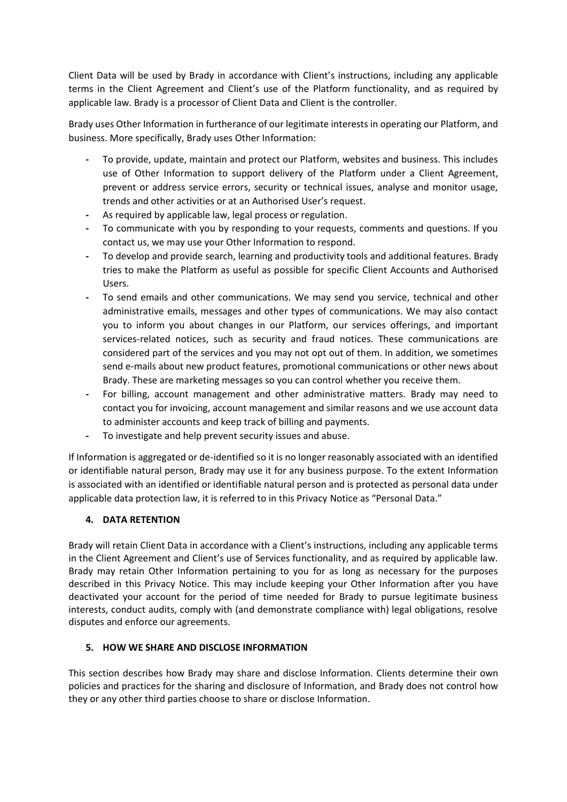Client Data will be used by Brady in accordance with Client's instructions, including any applicable terms in the Client Agreement and Client's use of the Platform functionality, and as required by applicable law. Brady is a processor of Client Data and Client is the controller.

Brady uses Other Information in furtherance of our legitimate interests in operating our Platform, and business. More specifically, Brady uses Other Information:

- **-** To provide, update, maintain and protect our Platform, websites and business. This includes use of Other Information to support delivery of the Platform under a Client Agreement, prevent or address service errors, security or technical issues, analyse and monitor usage, trends and other activities or at an Authorised User's request.
- **-** As required by applicable law, legal process or regulation.
- **-** To communicate with you by responding to your requests, comments and questions. If you contact us, we may use your Other Information to respond.
- **-** To develop and provide search, learning and productivity tools and additional features. Brady tries to make the Platform as useful as possible for specific Client Accounts and Authorised Users.
- **-** To send emails and other communications. We may send you service, technical and other administrative emails, messages and other types of communications. We may also contact you to inform you about changes in our Platform, our services offerings, and important services-related notices, such as security and fraud notices. These communications are considered part of the services and you may not opt out of them. In addition, we sometimes send e-mails about new product features, promotional communications or other news about Brady. These are marketing messages so you can control whether you receive them.
- **-** For billing, account management and other administrative matters. Brady may need to contact you for invoicing, account management and similar reasons and we use account data to administer accounts and keep track of billing and payments.
- **-** To investigate and help prevent security issues and abuse.

If Information is aggregated or de-identified so it is no longer reasonably associated with an identified or identifiable natural person, Brady may use it for any business purpose. To the extent Information is associated with an identified or identifiable natural person and is protected as personal data under applicable data protection law, it is referred to in this Privacy Notice as "Personal Data."

# **4. DATA RETENTION**

Brady will retain Client Data in accordance with a Client's instructions, including any applicable terms in the Client Agreement and Client's use of Services functionality, and as required by applicable law. Brady may retain Other Information pertaining to you for as long as necessary for the purposes described in this Privacy Notice. This may include keeping your Other Information after you have deactivated your account for the period of time needed for Brady to pursue legitimate business interests, conduct audits, comply with (and demonstrate compliance with) legal obligations, resolve disputes and enforce our agreements.

# **5. HOW WE SHARE AND DISCLOSE INFORMATION**

This section describes how Brady may share and disclose Information. Clients determine their own policies and practices for the sharing and disclosure of Information, and Brady does not control how they or any other third parties choose to share or disclose Information.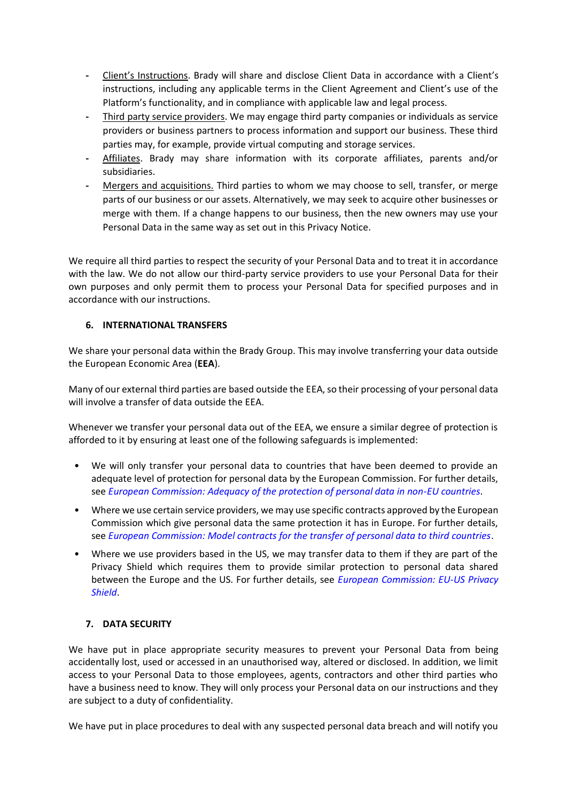- **-** Client's Instructions. Brady will share and disclose Client Data in accordance with a Client's instructions, including any applicable terms in the Client Agreement and Client's use of the Platform's functionality, and in compliance with applicable law and legal process.
- **-** Third party service providers. We may engage third party companies or individuals as service providers or business partners to process information and support our business. These third parties may, for example, provide virtual computing and storage services.
- **-** Affiliates. Brady may share information with its corporate affiliates, parents and/or subsidiaries.
- **-** Mergers and acquisitions. Third parties to whom we may choose to sell, transfer, or merge parts of our business or our assets. Alternatively, we may seek to acquire other businesses or merge with them. If a change happens to our business, then the new owners may use your Personal Data in the same way as set out in this Privacy Notice.

We require all third parties to respect the security of your Personal Data and to treat it in accordance with the law. We do not allow our third-party service providers to use your Personal Data for their own purposes and only permit them to process your Personal Data for specified purposes and in accordance with our instructions.

# **6. INTERNATIONAL TRANSFERS**

We share your personal data within the Brady Group. This may involve transferring your data outside the European Economic Area (**EEA**).

Many of our external third parties are based outside the EEA, so their processing of your personal data will involve a transfer of data outside the EEA.

Whenever we transfer your personal data out of the EEA, we ensure a similar degree of protection is afforded to it by ensuring at least one of the following safeguards is implemented:

- We will only transfer your personal data to countries that have been deemed to provide an adequate level of protection for personal data by the European Commission. For further details, see *[European Commission: Adequacy of the protection of personal data in non-EU countries](https://ec.europa.eu/info/law/law-topic/data-protection/data-transfers-outside-eu/adequacy-protection-personal-data-non-eu-countries_en)*.
- Where we use certain service providers, we may use specific contracts approved by the European Commission which give personal data the same protection it has in Europe. For further details, see *[European Commission: Model contracts for the transfer of personal data to third countries](https://ec.europa.eu/info/strategy/justice-and-fundamental-rights/data-protection/data-transfers-outside-eu/model-contracts-transfer-personal-data-third-countries_en)*.
- Where we use providers based in the US, we may transfer data to them if they are part of the Privacy Shield which requires them to provide similar protection to personal data shared between the Europe and the US. For further details, see *[European Commission: EU-US Privacy](https://ec.europa.eu/info/strategy/justice-and-fundamental-rights/data-protection/data-transfers-outside-eu/eu-us-privacy-shield_en)  [Shield](https://ec.europa.eu/info/strategy/justice-and-fundamental-rights/data-protection/data-transfers-outside-eu/eu-us-privacy-shield_en)*.

# **7. DATA SECURITY**

We have put in place appropriate security measures to prevent your Personal Data from being accidentally lost, used or accessed in an unauthorised way, altered or disclosed. In addition, we limit access to your Personal Data to those employees, agents, contractors and other third parties who have a business need to know. They will only process your Personal data on our instructions and they are subject to a duty of confidentiality.

We have put in place procedures to deal with any suspected personal data breach and will notify you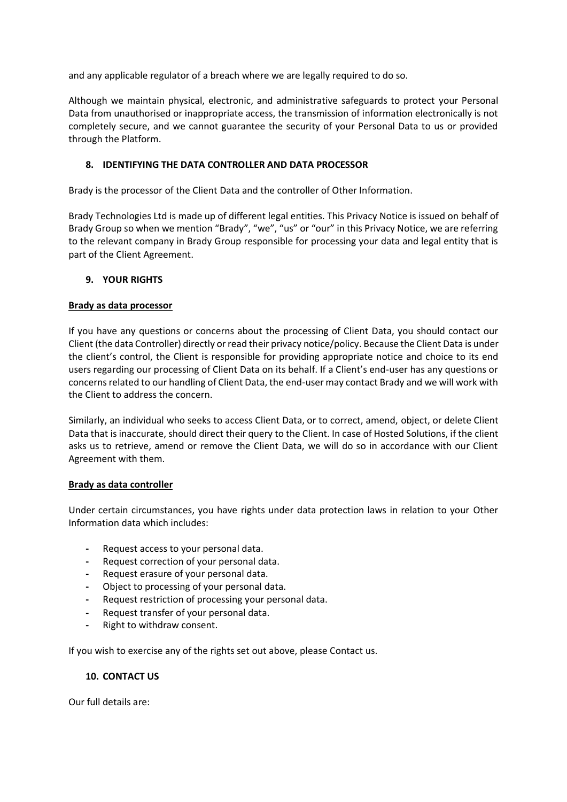and any applicable regulator of a breach where we are legally required to do so.

Although we maintain physical, electronic, and administrative safeguards to protect your Personal Data from unauthorised or inappropriate access, the transmission of information electronically is not completely secure, and we cannot guarantee the security of your Personal Data to us or provided through the Platform.

### **8. IDENTIFYING THE DATA CONTROLLER AND DATA PROCESSOR**

Brady is the processor of the Client Data and the controller of Other Information.

Brady Technologies Ltd is made up of different legal entities. This Privacy Notice is issued on behalf of Brady Group so when we mention "Brady", "we", "us" or "our" in this Privacy Notice, we are referring to the relevant company in Brady Group responsible for processing your data and legal entity that is part of the Client Agreement.

### **9. YOUR RIGHTS**

### **Brady as data processor**

If you have any questions or concerns about the processing of Client Data, you should contact our Client (the data Controller) directly or read their privacy notice/policy. Because the Client Data is under the client's control, the Client is responsible for providing appropriate notice and choice to its end users regarding our processing of Client Data on its behalf. If a Client's end-user has any questions or concerns related to our handling of Client Data, the end-user may contact Brady and we will work with the Client to address the concern.

Similarly, an individual who seeks to access Client Data, or to correct, amend, object, or delete Client Data that is inaccurate, should direct their query to the Client. In case of Hosted Solutions, if the client asks us to retrieve, amend or remove the Client Data, we will do so in accordance with our Client Agreement with them.

### **Brady as data controller**

Under certain circumstances, you have rights under data protection laws in relation to your Other Information data which includes:

- **-** Request access to your personal data.
- **-** Request correction of your personal data.
- **-** Request erasure of your personal data.
- **-** Object to processing of your personal data.
- **-** Request restriction of processing your personal data.
- **-** Request transfer of your personal data.
- **-** Right to withdraw consent.

If you wish to exercise any of the rights set out above, please Contact us.

### **10. CONTACT US**

Our full details are: